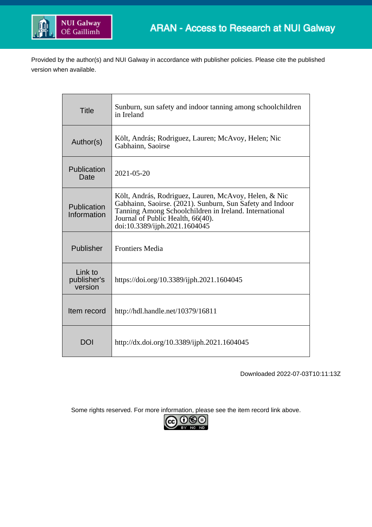

Provided by the author(s) and NUI Galway in accordance with publisher policies. Please cite the published version when available.

| <b>Title</b>                      | Sunburn, sun safety and indoor tanning among schoolchildren<br>in Ireland                                                                                                                                                                          |
|-----------------------------------|----------------------------------------------------------------------------------------------------------------------------------------------------------------------------------------------------------------------------------------------------|
| Author(s)                         | Költ, András; Rodriguez, Lauren; McAvoy, Helen; Nic<br>Gabhainn, Saoirse                                                                                                                                                                           |
| Publication<br>Date               | $2021 - 05 - 20$                                                                                                                                                                                                                                   |
| Publication<br>Information        | Költ, András, Rodriguez, Lauren, McAvoy, Helen, & Nic<br>Gabhainn, Saoirse. (2021). Sunburn, Sun Safety and Indoor<br>Tanning Among Schoolchildren in Ireland. International<br>Journal of Public Health, 66(40).<br>doi:10.3389/ijph.2021.1604045 |
| Publisher                         | <b>Frontiers Media</b>                                                                                                                                                                                                                             |
| Link to<br>publisher's<br>version | https://doi.org/10.3389/ijph.2021.1604045                                                                                                                                                                                                          |
| Item record                       | http://hdl.handle.net/10379/16811                                                                                                                                                                                                                  |
| <b>DOI</b>                        | http://dx.doi.org/10.3389/ijph.2021.1604045                                                                                                                                                                                                        |

Downloaded 2022-07-03T10:11:13Z

Some rights reserved. For more information, please see the item record link above.

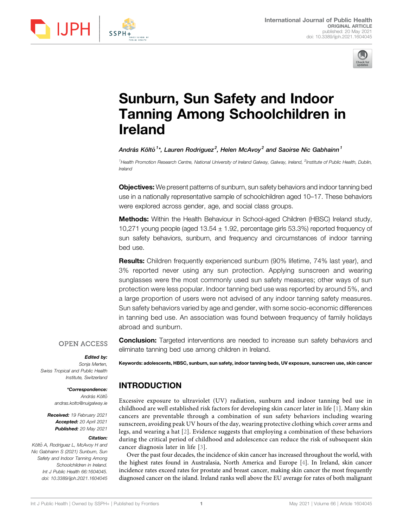



# Sunburn, Sun Safety and Indoor Tanning Among Schoolchildren in Ireland

András Költő $^1$ \*, Lauren Rodriguez $^2$ , Helen McAvoy $^2$  and Saoirse Nic Gabhainn $^1$ 

<sup>1</sup>Health Promotion Research Centre, National University of Ireland Galway, Galway, Ireland, <sup>2</sup>Institute of Public Health, Dublin, Ireland

Objectives: We present patterns of sunburn, sun safety behaviors and indoor tanning bed use in a nationally representative sample of schoolchildren aged 10–17. These behaviors were explored across gender, age, and social class groups.

Methods: Within the Health Behaviour in School-aged Children (HBSC) Ireland study, 10,271 young people (aged 13.54 ± 1.92, percentage girls 53.3%) reported frequency of sun safety behaviors, sunburn, and frequency and circumstances of indoor tanning bed use.

**Results:** Children frequently experienced sunburn (90% lifetime, 74% last year), and 3% reported never using any sun protection. Applying sunscreen and wearing sunglasses were the most commonly used sun safety measures; other ways of sun protection were less popular. Indoor tanning bed use was reported by around 5%, and a large proportion of users were not advised of any indoor tanning safety measures. Sun safety behaviors varied by age and gender, with some socio-economic differences in tanning bed use. An association was found between frequency of family holidays abroad and sunburn. **ISO THE CONFIRM CONTINUOUS CONFIRM CONFIRM CONFIRM CONFIRM CONFIRM CONFIRM CONFIRM CONFIRM CONFIRM CONFIRM CONFIRM CONFIRM CONFIRM CONFIRM CONFIRM CONFIRM CONFIRM CONFIRM CONFIRM CONFIRM CONFIRM CONFIRM CONFIRM CONFIRM C** 

Edited by:

Sonja Merten, Swiss Tropical and Public Health Institute, Switzerland

#### \*Correspondence:

András Költő [andras.kolto@nuigalway.ie](mailto:andras.kolto@nuigalway.ie)

Received: 19 February 2021 Accepted: 20 April 2021 Published: 20 May 2021

#### Citation:

Költő A, Rodriguez L, McAvoy H and Nic Gabhainn S (2021) Sunburn, Sun Safety and Indoor Tanning Among Schoolchildren in Ireland. Int J Public Health 66:1604045. doi: [10.3389/ijph.2021.1604045](https://doi.org/10.3389/ijph.2021.1604045)

**Conclusion:** Targeted interventions are needed to increase sun safety behaviors and eliminate tanning bed use among children in Ireland.

Keywords: adolescents, HBSC, sunburn, sun safety, indoor tanning beds, UV exposure, sunscreen use, skin cancer

# INTRODUCTION

Excessive exposure to ultraviolet (UV) radiation, sunburn and indoor tanning bed use in childhood are well established risk factors for developing skin cancer later in life [[1\]](#page-9-0). Many skin cancers are preventable through a combination of sun safety behaviors including wearing sunscreen, avoiding peak UV hours of the day, wearing protective clothing which cover arms and legs, and wearing a hat [[2](#page-9-1)]. Evidence suggests that employing a combination of these behaviors during the critical period of childhood and adolescence can reduce the risk of subsequent skin cancer diagnosis later in life [[3](#page-9-2)].

Over the past four decades, the incidence of skin cancer has increased throughout the world, with the highest rates found in Australasia, North America and Europe [\[4\]](#page-9-3). In Ireland, skin cancer incidence rates exceed rates for prostate and breast cancer, making skin cancer the most frequently diagnosed cancer on the island. Ireland ranks well above the EU average for rates of both malignant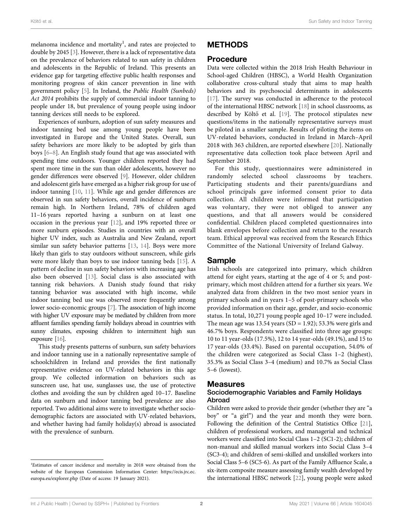melanoma incidence and mortality<sup>1</sup>, and rates are projected to double by 2045 [\[3\]](#page-9-2). However, there is a lack of representative data on the prevalence of behaviors related to sun safety in children and adolescents in the Republic of Ireland. This presents an evidence gap for targeting effective public health responses and monitoring progress of skin cancer prevention in line with government policy [[5](#page-9-4)]. In Ireland, the Public Health (Sunbeds) Act 2014 prohibits the supply of commercial indoor tanning to people under 18, but prevalence of young people using indoor tanning devices still needs to be explored.

Experiences of sunburn, adoption of sun safety measures and indoor tanning bed use among young people have been investigated in Europe and the United States. Overall, sun safety behaviors are more likely to be adopted by girls than boys [\[6](#page-9-5)–[8](#page-9-6)]. An English study found that age was associated with spending time outdoors. Younger children reported they had spent more time in the sun than older adolescents, however no gender differences were observed [\[9\]](#page-9-7). However, older children and adolescent girls have emerged as a higher risk group for use of indoor tanning [\[10,](#page-9-8) [11](#page-9-9)]. While age and gender differences are observed in sun safety behaviors, overall incidence of sunburn remain high. In Northern Ireland, 78% of children aged 11–16 years reported having a sunburn on at least one occasion in the previous year [[12\]](#page-9-10), and 19% reported three or more sunburn episodes. Studies in countries with an overall higher UV index, such as Australia and New Zealand, report similar sun safety behavior patterns [[13,](#page-9-11) [14\]](#page-9-12). Boys were more likely than girls to stay outdoors without sunscreen, while girls were more likely than boys to use indoor tanning beds [[15](#page-9-13)]. A pattern of decline in sun safety behaviors with increasing age has also been observed [[13\]](#page-9-11). Social class is also associated with tanning risk behaviors. A Danish study found that risky tanning behavior was associated with high income, while indoor tanning bed use was observed more frequently among lower socio-economic groups [\[7](#page-9-14)]. The association of high income with higher UV exposure may be mediated by children from more affluent families spending family holidays abroad in countries with sunny climates, exposing children to intermittent high sun exposure [[16](#page-9-15)].

This study presents patterns of sunburn, sun safety behaviors and indoor tanning use in a nationally representative sample of schoolchildren in Ireland and provides the first nationally representative evidence on UV-related behaviors in this age group. We collected information on behaviors such as sunscreen use, hat use, sunglasses use, the use of protective clothes and avoiding the sun by children aged 10–17. Baseline data on sunburn and indoor tanning bed prevalence are also reported. Two additional aims were to investigate whether sociodemographic factors are associated with UV-related behaviors, and whether having had family holiday(s) abroad is associated with the prevalence of sunburn.

# METHODS

#### Procedure

Data were collected within the 2018 Irish Health Behaviour in School-aged Children (HBSC), a World Health Organization collaborative cross-cultural study that aims to map health behaviors and its psychosocial determinants in adolescents [\[17](#page-9-16)]. The survey was conducted in adherence to the protocol of the international HBSC network [[18\]](#page-9-17) in school classrooms, as described by Költő et al. [[19\]](#page-9-18). The protocol stipulates new questions/items in the nationally representative surveys must be piloted in a smaller sample. Results of piloting the items on UV-related behaviors, conducted in Ireland in March–April 2018 with 363 children, are reported elsewhere [\[20\]](#page-10-0). Nationally representative data collection took place between April and September 2018.

For this study, questionnaires were administered in randomly selected school classrooms by teachers. Participating students and their parents/guardians and school principals gave informed consent prior to data collection. All children were informed that participation was voluntary, they were not obliged to answer any questions, and that all answers would be considered confidential. Children placed completed questionnaires into blank envelopes before collection and return to the research team. Ethical approval was received from the Research Ethics Committee of the National University of Ireland Galway.

# Sample

Irish schools are categorized into primary, which children attend for eight years, starting at the age of 4 or 5; and postprimary, which most children attend for a further six years. We analyzed data from children in the two most senior years in primary schools and in years 1–5 of post-primary schools who provided information on their age, gender, and socio-economic status. In total, 10,271 young people aged 10–17 were included. The mean age was 13.54 years (SD = 1.92); 53.3% were girls and 46.7% boys. Respondents were classified into three age groups: 10 to 11 year-olds (17.5%), 12 to 14 year-olds (49.1%), and 15 to 17 year-olds (33.4%). Based on parental occupation, 54.0% of the children were categorized as Social Class 1–2 (highest), 35.3% as Social Class 3–4 (medium) and 10.7% as Social Class 5–6 (lowest).

#### Measures

#### Sociodemographic Variables and Family Holidays Abroad

Children were asked to provide their gender (whether they are "a boy" or "a girl") and the year and month they were born. Following the definition of the Central Statistics Office [[21\]](#page-10-1), children of professional workers, and managerial and technical workers were classified into Social Class 1–2 (SC1-2); children of non-manual and skilled manual workers into Social Class 3–4 (SC3-4); and children of semi-skilled and unskilled workers into Social Class 5–6 (SC5-6). As part of the Family Affluence Scale, a six-item composite measure assessing family wealth developed by the international HBSC network [\[22\]](#page-10-2), young people were asked

<sup>&</sup>lt;sup>1</sup>Estimates of cancer incidence and mortality in 2018 were obtained from the website of the European Commission Information Center: [https://ecis.jrc.ec.](https://ecis.jrc.ec.europa.eu/explorer.php) [europa.eu/explorer.php](https://ecis.jrc.ec.europa.eu/explorer.php) (Date of access: 19 January 2021).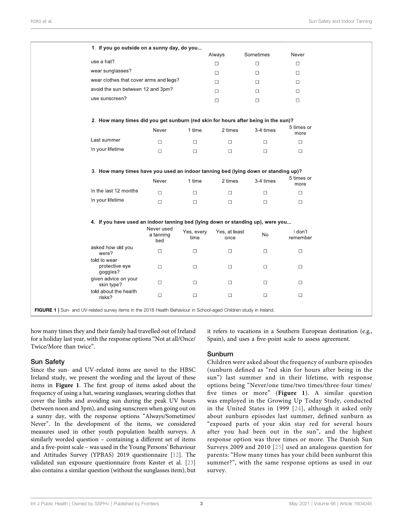| 1. If you go outside on a sunny day, do you                                                                        |                                |                    |                       |                     |                     |
|--------------------------------------------------------------------------------------------------------------------|--------------------------------|--------------------|-----------------------|---------------------|---------------------|
| use a hat?                                                                                                         |                                |                    | Always                | Sometimes<br>$\Box$ | Never               |
| wear sunglasses?                                                                                                   |                                |                    | $\Box$                |                     | $\Box$              |
| wear clothes that cover arms and legs?                                                                             |                                |                    | $\Box$                | $\Box$              | $\Box$              |
| avoid the sun between 12 and 3pm?                                                                                  |                                |                    | □                     | $\Box$              | $\Box$              |
| use sunscreen?                                                                                                     |                                |                    | $\Box$                | $\Box$              | $\Box$              |
|                                                                                                                    |                                |                    | $\Box$                | $\Box$              | $\Box$              |
| 2. How many times did you get sunburn (red skin for hours after being in the sun)?                                 |                                |                    |                       |                     |                     |
|                                                                                                                    | Never                          | 1 time             | 2 times               | 3-4 times           | 5 times or<br>more  |
| Last summer                                                                                                        | $\Box$                         | $\Box$             | $\Box$                | $\Box$              | $\Box$              |
| In your lifetime                                                                                                   | $\Box$                         | $\Box$             | $\Box$                | $\Box$              | $\Box$              |
| 3. How many times have you used an indoor tanning bed (lying down or standing up)?                                 | Never                          | 1 time             | 2 times               | 3-4 times           | 5 times or<br>more  |
| In the last 12 months                                                                                              | $\Box$                         | $\Box$             | $\Box$                | $\Box$              | $\Box$              |
| In your lifetime                                                                                                   | $\Box$                         | $\Box$             | $\Box$                | $\Box$              | $\Box$              |
| 4. If you have used an indoor tanning bed (lying down or standing up), were you                                    |                                |                    |                       |                     |                     |
|                                                                                                                    | Never used<br>a tanning<br>bed | Yes, every<br>time | Yes, at least<br>once | No                  | I don't<br>remember |
| asked how old you<br>were?                                                                                         | □                              | $\Box$             | $\Box$                | $\Box$              | $\Box$              |
| told to wear<br>protective eye<br>goggles?                                                                         | $\Box$                         | $\Box$             | $\Box$                | $\Box$              | $\Box$              |
| given advice on your<br>skin type?                                                                                 | □                              | $\Box$             | $\Box$                | $\Box$              | $\Box$              |
| told about the health<br>risks?                                                                                    | $\Box$                         | $\Box$             | $\Box$                | $\Box$              | $\Box$              |
| FIGURE 1   Sun- and UV-related survey items in the 2018 Health Behaviour in School-aged Children study in Ireland. |                                |                    |                       |                     |                     |

<span id="page-3-0"></span>how many times they and their family had travelled out of Ireland for a holiday last year, with the response options"Not at all/Once/ Twice/More than twice".

#### Sun Safety

Since the sun- and UV-related items are novel to the HBSC Ireland study, we present the wording and the layout of these items in [Figure 1](#page-3-0). The first group of items asked about the frequency of using a hat, wearing sunglasses, wearing clothes that cover the limbs and avoiding sun during the peak UV hours (between noon and 3pm), and using sunscreen when going out on a sunny day, with the response options "Always/Sometimes/ Never". In the development of the items, we considered measures used in other youth population health surveys. A similarly worded question – containing a different set of items and a five-point scale – was used in the Young Persons' Behaviour and Attitudes Survey (YPBAS) 2019 questionnaire [\[12](#page-9-10)]. The validated sun exposure questionnaire from Køster et al. [[23\]](#page-10-3) also contains a similar question (without the sunglasses item), but

it refers to vacations in a Southern European destination (e.g., Spain), and uses a five-point scale to assess agreement.

#### Sunburn

Children were asked about the frequency of sunburn episodes (sunburn defined as "red skin for hours after being in the sun") last summer and in their lifetime, with response options being "Never/one time/two times/three-four times/ five times or more" ([Figure 1](#page-3-0)). A similar question was employed in the Growing Up Today Study, conducted in the United States in 1999 [[24\]](#page-10-4), although it asked only about sunburn episodes last summer, defined sunburn as "exposed parts of your skin stay red for several hours after you had been out in the sun", and the highest response option was three times or more. The Danish Sun Surveys 2009 and 2010 [\[25](#page-10-5)] used an analogous question for parents: "How many times has your child been sunburnt this summer?", with the same response options as used in our survey.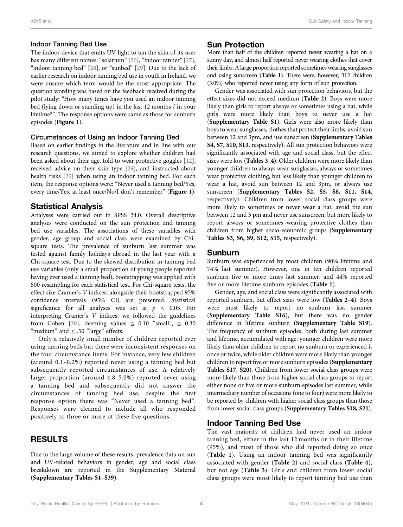#### Indoor Tanning Bed Use

The indoor device that emits UV light to tan the skin of its user has many different names: "solarium" [[26\]](#page-10-6), "indoor tanner" [[27\]](#page-10-7), "indoor tanning bed" [\[28](#page-10-8)], or "sunbed" [\[29](#page-10-9)]. Due to the lack of earlier research on indoor tanning bed use in youth in Ireland, we were unsure which term would be the most appropriate. The question wording was based on the feedback received during the pilot study: "How many times have you used an indoor tanning bed (lying down or standing up) in the last 12 months / in your lifetime?". The response options were same as those for sunburn episodes ([Figure 1](#page-3-0)).

#### Circumstances of Using an Indoor Tanning Bed

Based on earlier findings in the literature and in line with our research questions, we aimed to explore whether children had been asked about their age, told to wear protective goggles [[12\]](#page-9-10), received advice on their skin type [\[29](#page-10-9)], and instructed about health risks [[29\]](#page-10-9) when using an indoor tanning bed. For each item, the response options were: "Never used a tanning bed/Yes, every time/Yes, at least once/No/I don't remember" ([Figure 1](#page-3-0)).

### Statistical Analysis

Analyses were carried out in SPSS 24.0. Overall descriptive analyses were conducted on the sun protection and tanning bed use variables. The associations of these variables with gender, age group and social class were examined by Chisquare tests. The prevalence of sunburn last summer was tested against family holidays abroad in the last year with a Chi-square test. Due to the skewed distribution in tanning bed use variables (only a small proportion of young people reported having ever used a tanning bed), bootstrapping was applied with 500 resampling for each statistical test. For Chi-square tests, the effect size Cramer's V indices, alongside their bootstrapped 95% confidence intervals (95% CI) are presented. Statistical significance for all analyses was set at  $p < 0.05$ . For interpreting Cramer's V indices, we followed the guidelines from Cohen [\[30\]](#page-10-10), deeming values  $\leq$  0.10 "small",  $\leq$  0.30 "medium" and  $\leq$  .50 "large" effects.

Only a relatively small number of children reported ever using tanning beds but there were inconsistent responses on the four circumstance items. For instance, very few children (around 0.1–0.2%) reported never using a tanning bed but subsequently reported circumstances of use. A relatively larger proportion (around 4.8–5.0%) reported never using a tanning bed and subsequently did not answer the circumstances of tanning bed use, despite the first response option there was "Never used a tanning bed". Responses were cleaned to include all who responded positively to three or more of these five questions.

# RESULTS

Due to the large volume of these results, prevalence data on sun and UV-related behaviors in gender, age and social class breakdown are reported in the Supplementary Material ([Supplementary Tables S1](#page-9-19)–[S39](#page-9-19)).

### Sun Protection

More than half of the children reported never wearing a hat on a sunny day, and almost half reported never wearing clothes that cover their limbs. A large proportion reported sometimes wearing sunglasses and using sunscreen ([Table 1](#page-5-0)). There were, however, 312 children (3.0%) who reported never using any form of sun protection.

Gender was associated with sun protection behaviors, but the effect sizes did not exceed medium ([Table 2](#page-5-1)). Boys were more likely than girls to report always or sometimes using a hat, while girls were more likely than boys to never use a hat ([Supplementary Table S1](#page-9-19)). Girls were also more likely than boys to wear sunglasses, clothes that protect their limbs, avoid sun between 12 and 3pm, and use sunscreen ([Supplementary Tables](#page-9-19) [S4, S7, S10, S13](#page-9-19), respectively). All sun protection behaviors were significantly associated with age and social class, but the effect sizes were low ([Tables 3](#page-6-0), [4](#page-6-1)). Older children were more likely than younger children to always wear sunglasses, always or sometimes wear protective clothing, but less likely than younger children to wear a hat, avoid sun between 12 and 3pm, or always use sunscreen ([Supplementary Tables S2, S5, S8, S11, S14](#page-9-19), respectively). Children from lower social class groups were more likely to sometimes or never wear a hat, avoid the sun between 12 and 3 pm and never use sunscreen, but more likely to report always or sometimes wearing protective clothes than children from higher socio-economic groups ([Supplementary](#page-9-19) [Tables S3, S6, S9, S12, S15](#page-9-19), respectively).

### Sunburn

Sunburn was experienced by most children (90% lifetime and 74% last summer). However, one in ten children reported sunburn five or more times last summer, and 44% reported five or more lifetime sunburn episodes ([Table 1](#page-5-0)).

Gender, age, and social class were significantly associated with reported sunburn, but effect sizes were low ([Tables 2](#page-5-1)–[4](#page-6-1)). Boys were most likely to report no sunburn last summer ([Supplementary Table S16](#page-9-19)), but there was no gender difference in lifetime sunburn ([Supplementary Table S19](#page-9-19)). The frequency of sunburn episodes, both during last summer and lifetime, accumulated with age: younger children were more likely than older children to report no sunburn or experienced it once or twice, while older children were more likely than younger children to report five or more sunburn episodes ([Supplementary](#page-9-19) [Tables S17, S20](#page-9-19)). Children from lower social class groups were more likely than those from higher social class groups to report either none or five or more sunburn episodes last summer, while intermediary number of occasions (one to four) were more likely to be reported by children with higher social class groups than those from lower social class groups ([Supplementary Tables S18, S21](#page-9-19)).

### Indoor Tanning Bed Use

The vast majority of children had never used an indoor tanning bed, either in the last 12 months or in their lifetime (95%), and most of those who did reported doing so once ([Table 1](#page-5-0)). Using an indoor tanning bed was significantly associated with gender ([Table 2](#page-5-1)) and social class ([Table 4](#page-6-1)), but not age ([Table 3](#page-6-0)). Girls and children from lower social class groups were most likely to report tanning bed use than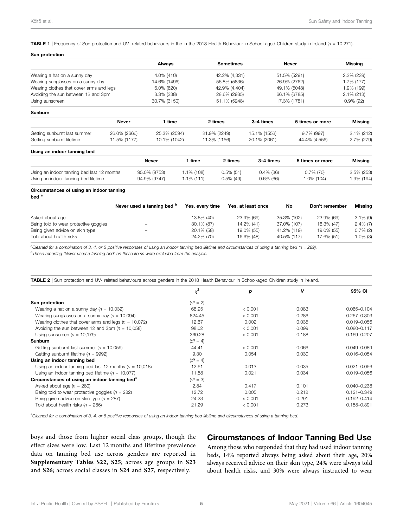<span id="page-5-0"></span>**TABLE 1** | Frequency of Sun protection and UV- related behaviours in the in the 2018 Health Behaviour in School-aged Children study in Ireland ( $n = 10,271$ ).

| Sun protection                             |              |               |               |               |                  |              |                 |                |
|--------------------------------------------|--------------|---------------|---------------|---------------|------------------|--------------|-----------------|----------------|
|                                            |              | Always        |               |               | <b>Sometimes</b> |              | <b>Never</b>    | <b>Missing</b> |
| Wearing a hat on a sunny day               |              | 4.0% (410)    |               | 42.2% (4,331) |                  | 51.5% (5291) |                 | 2.3% (239)     |
| Wearing sunglasses on a sunny day          |              |               | 14.6% (1496)  |               | 56.8% (5836)     | 26.9% (2762) |                 | 1.7% (177)     |
| Wearing clothes that cover arms and legs   |              |               | 6.0% (620)    |               | 42.9% (4,404)    | 49.1% (5048) |                 | 1.9% (199)     |
| Avoiding the sun between 12 and 3pm        |              | $3.3\%$ (338) |               | 28.6% (2935)  |                  | 66.1% (6785) |                 | $2.1\%$ (213)  |
| Using sunscreen                            |              | 30.7% (3150)  |               |               | 51.1% (5248)     |              | 17.3% (1781)    | $0.9\%$ (92)   |
| <b>Sunburn</b>                             |              |               |               |               |                  |              |                 |                |
|                                            | <b>Never</b> | 1 time        |               |               | 2 times          | 3-4 times    | 5 times or more | <b>Missing</b> |
| Getting sunburnt last summer               | 26.0% (2666) | 25.3% (2594)  |               |               | 21.9% (2249)     | 15.1% (1553) | 9.7% (997)      | $2.1\%$ (212)  |
| Getting sunburnt lifetime                  | 11.5% (1177) | 10.1% (1042)  |               |               | 11.3% (1156)     | 20.1% (2061) | 44.4% (4,556)   | 2.7% (279)     |
| Using an indoor tanning bed                |              |               |               |               |                  |              |                 |                |
|                                            |              | <b>Never</b>  | 1 time        |               | 2 times          | 3-4 times    | 5 times or more | <b>Missing</b> |
| Using an indoor tanning bed last 12 months |              | 95.0% (9753)  | 1.1% (108)    |               | $0.5\%$ (51)     | $0.4\%$ (36) | $0.7\%$ (70)    | $2.5\%$ (253)  |
| Using an indoor tanning bed lifetime       |              | 94.9% (9747)  | $1.1\%$ (111) |               | $0.5\%$ (49)     | $0.6\%$ (66) | 1.0% (104)      | 1.9% (194)     |
| Circumstances of using an indoor tanning   |              |               |               |               |                  |              |                 |                |

bed<sup>a</sup>

|                                       | Never used a tanning bed b | Yes, every time | Yes, at least once | No          | Don't remember | Missing     |
|---------------------------------------|----------------------------|-----------------|--------------------|-------------|----------------|-------------|
| Asked about age                       | $\overline{\phantom{a}}$   | 13.8% (40)      | 23.9% (69)         | 35.3% (102) | 23.9% (69)     | $3.1\%$ (9) |
| Being told to wear protective goggles | $\overline{\phantom{a}}$   | 30.1% (87)      | 14.2% (41)         | 37.0% (107) | 16.3% (47)     | $2.4\%$ (7) |
| Being given advice on skin type       | $\overline{\phantom{a}}$   | 20.1% (58)      | 19.0% (55)         | 41.2% (119) | 19.0% (55)     | $0.7\%$ (2) |
| Told about health risks               | $\overline{\phantom{a}}$   | 24.2% (70)      | 16.6% (48)         | 40.5% (117) | 17.6% (51)     | 1.0% (3)    |

<sup>a</sup>Cleaned for a combination of 3, 4, or 5 positive responses of using an indoor tanning bed lifetime and circumstances of using a tanning bed (n = 289).<br><sup>b</sup>These reparting 'Never used a tanning bed' on these items were ex

 $<sup>b</sup>$ Those reporting 'Never used a tanning bed' on these items were excluded from the analysis.</sup>

<span id="page-5-1"></span>TABLE 2 | Sun protection and UV- related behaviours across genders in the 2018 Health Behaviour in School-aged Children study in Ireland.

|                                                             | $\chi^2$   | р       | v     | 95% CI          |
|-------------------------------------------------------------|------------|---------|-------|-----------------|
| Sun protection                                              | $(df = 2)$ |         |       |                 |
| Wearing a hat on a sunny day $(n = 10,032)$                 | 68.95      | < 0.001 | 0.083 | $0.065 - 0.104$ |
| Wearing sunglasses on a sunny day $(n = 10,094)$            | 824.45     | < 0.001 | 0.286 | $0.267 - 0.303$ |
| Wearing clothes that cover arms and legs ( $n = 10,072$ )   | 12.67      | 0.002   | 0.035 | $0.019 - 0.056$ |
| Avoiding the sun between 12 and 3pm $(n = 10,058)$          | 98.02      | < 0.001 | 0.099 | $0.080 - 0.117$ |
| Using sunscreen ( $n = 10,179$ )                            | 360.28     | < 0.001 | 0.188 | $0.169 - 0.207$ |
| <b>Sunburn</b>                                              | $(df = 4)$ |         |       |                 |
| Getting sunburnt last summer ( $n = 10,059$ )               | 44.41      | < 0.001 | 0.066 | $0.049 - 0.089$ |
| Getting sunburnt lifetime ( $n = 9992$ )                    | 9.30       | 0.054   | 0.030 | $0.016 - 0.054$ |
| Using an indoor tanning bed                                 | $(df = 4)$ |         |       |                 |
| Using an indoor tanning bed last 12 months ( $n = 10,018$ ) | 12.61      | 0.013   | 0.035 | $0.021 - 0.056$ |
| Using an indoor tanning bed lifetime ( $n = 10,077$ )       | 11.58      | 0.021   | 0.034 | $0.019 - 0.056$ |
| Circumstances of using an indoor tanning bed <sup>a</sup>   | $(df = 3)$ |         |       |                 |
| Asked about age $(n = 280)$                                 | 2.84       | 0.417   | 0.101 | $0.040 - 0.238$ |
| Being told to wear protective goggles ( $n = 282$ )         | 12.72      | 0.005   | 0.212 | $0.121 - 0.349$ |
| Being given advice on skin type ( $n = 287$ )               | 24.23      | < 0.001 | 0.291 | $0.192 - 0.414$ |
| Told about health risks $(n = 286)$                         | 21.29      | < 0.001 | 0.273 | $0.158 - 0.391$ |

a<br>Cleaned for a combination of 3, 4, or 5 positive responses of using an indoor tanning bed lifetime and circumstances of using a tanning bed.

boys and those from higher social class groups, though the effect sizes were low. Last 12 months and lifetime prevalence data on tanning bed use across genders are reported in [Supplementary Tables S22, S25](#page-9-19); across age groups in S23 and S26; across social classes in S24 and S27, respectively.

### Circumstances of Indoor Tanning Bed Use

Among those who responded that they had used indoor tanning beds, 14% reported always being asked about their age, 20% always received advice on their skin type, 24% were always told about health risks, and 30% were always instructed to wear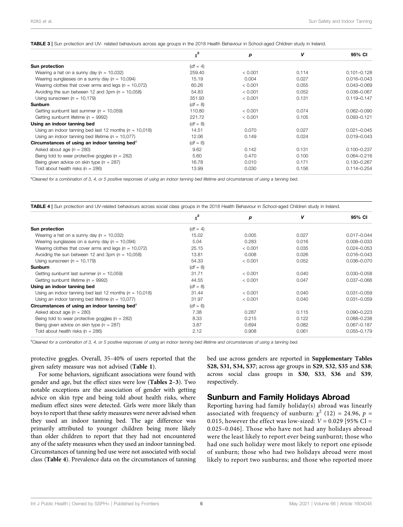<span id="page-6-0"></span>TABLE 3 | Sun protection and UV- related behaviours across age groups in the 2018 Health Behaviour in School-aged Children study in Ireland.

|                                                             | $\chi^2$   | р       | v     | 95% CI          |
|-------------------------------------------------------------|------------|---------|-------|-----------------|
| Sun protection                                              | $(df = 4)$ |         |       |                 |
| Wearing a hat on a sunny day $(n = 10,032)$                 | 259.40     | < 0.001 | 0.114 | $0.101 - 0.128$ |
| Wearing sunglasses on a sunny day ( $n = 10,094$ )          | 15.19      | 0.004   | 0.027 | $0.016 - 0.043$ |
| Wearing clothes that cover arms and legs ( $n = 10,072$ )   | 60.26      | < 0.001 | 0.055 | $0.043 - 0.069$ |
| Avoiding the sun between 12 and 3pm $(n = 10,058)$          | 54.83      | < 0.001 | 0.052 | 0.038-0.067     |
| Using sunscreen ( $n = 10,179$ )                            | 351.93     | < 0.001 | 0.131 | $0.119 - 0.147$ |
| <b>Sunburn</b>                                              | $(df = 8)$ |         |       |                 |
| Getting sunburnt last summer ( $n = 10,059$ )               | 110.80     | < 0.001 | 0.074 | $0.062 - 0.090$ |
| Getting sunburnt lifetime ( $n = 9992$ )                    | 221.72     | < 0.001 | 0.105 | $0.093 - 0.121$ |
| Using an indoor tanning bed                                 | $(df = 8)$ |         |       |                 |
| Using an indoor tanning bed last 12 months ( $n = 10,018$ ) | 14.51      | 0.070   | 0.027 | $0.021 - 0.045$ |
| Using an indoor tanning bed lifetime ( $n = 10,077$ )       | 12.06      | 0.149   | 0.024 | $0.019 - 0.043$ |
| Circumstances of using an indoor tanning bed <sup>a</sup>   | $(df = 6)$ |         |       |                 |
| Asked about age $(n = 280)$                                 | 9.62       | 0.142   | 0.131 | $0.100 - 0.237$ |
| Being told to wear protective goggles ( $n = 282$ )         | 5.60       | 0.470   | 0.100 | $0.064 - 0.216$ |
| Being given advice on skin type ( $n = 287$ )               | 16.78      | 0.010   | 0.171 | $0.130 - 0.267$ |
| Told about health risks $(n = 286)$                         | 13.99      | 0.030   | 0.156 | $0.114 - 0.254$ |

a Cleaned for a combination of 3, 4, or 5 positive responses of using an indoor tanning bed lifetime and circumstances of using a tanning bed.

<span id="page-6-1"></span>TABLE 4 | Sun protection and UV-related behaviours across social class groups in the 2018 Health Behaviour in School-aged Children study in Ireland.

|                                                             | $\chi^2$   | р       | v     | 95% CI          |
|-------------------------------------------------------------|------------|---------|-------|-----------------|
| Sun protection                                              | $(df = 4)$ |         |       |                 |
| Wearing a hat on a sunny day ( $n = 10,032$ )               | 15.02      | 0.005   | 0.027 | $0.017 - 0.044$ |
| Wearing sunglasses on a sunny day ( $n = 10,094$ )          | 5.04       | 0.283   | 0.016 | $0.008 - 0.033$ |
| Wearing clothes that cover arms and legs $(n = 10.072)$     | 25.15      | < 0.001 | 0.035 | $0.024 - 0.053$ |
| Avoiding the sun between 12 and 3pm $(n = 10,058)$          | 13.81      | 0.008   | 0.026 | $0.016 - 0.043$ |
| Using sunscreen ( $n = 10,179$ )                            | 54.33      | < 0.001 | 0.052 | 0.036-0.070     |
| Sunburn                                                     | $(df = 8)$ |         |       |                 |
| Getting sunburnt last summer ( $n = 10,059$ )               | 31.71      | < 0.001 | 0.040 | $0.030 - 0.058$ |
| Getting sunburnt lifetime ( $n = 9992$ )                    | 44.55      | < 0.001 | 0.047 | $0.037 - 0.066$ |
| Using an indoor tanning bed                                 | $(df = 8)$ |         |       |                 |
| Using an indoor tanning bed last 12 months ( $n = 10,018$ ) | 31.44      | < 0.001 | 0.040 | $0.031 - 0.059$ |
| Using an indoor tanning bed lifetime ( $n = 10.077$ )       | 31.97      | < 0.001 | 0.040 | $0.031 - 0.059$ |
| Circumstances of using an indoor tanning bed <sup>a</sup>   | $(df = 6)$ |         |       |                 |
| Asked about age $(n = 280)$                                 | 7.38       | 0.287   | 0.115 | $0.090 - 0.223$ |
| Being told to wear protective goggles ( $n = 282$ )         | 8.33       | 0.215   | 0.122 | 0.088-0.238     |
| Being given advice on skin type ( $n = 287$ )               | 3.87       | 0.694   | 0.082 | $0.067 - 0.187$ |
| Told about health risks $(n = 286)$                         | 2.12       | 0.908   | 0.061 | $0.055 - 0.179$ |

a<br>Cleaned for a combination of 3, 4, or 5 positive responses of using an indoor tanning bed lifetime and circumstances of using a tanning bed.

protective goggles. Overall, 35–40% of users reported that the given safety measure was not advised ([Table 1](#page-5-0)).

For some behaviors, significant associations were found with gender and age, but the effect sizes were low ([Tables 2](#page-5-1)–[3](#page-6-0)). Two notable exceptions are the association of gender with getting advice on skin type and being told about health risks, where medium effect sizes were detected. Girls were more likely than boys to report that these safety measures were never advised when they used an indoor tanning bed. The age difference was primarily attributed to younger children being more likely than older children to report that they had not encountered any of the safety measures when they used an indoor tanning bed. Circumstances of tanning bed use were not associated with social class ([Table 4](#page-6-1)). Prevalence data on the circumstances of tanning bed use across genders are reported in [Supplementary Tables](#page-9-19) [S28, S31, S34, S37](#page-9-19); across age groups in S29, S32, S35 and S38; across social class groups in S30, S33, S36 and S39, respectively.

#### Sunburn and Family Holidays Abroad

Reporting having had family holiday(s) abroad was linearly associated with frequency of sunburn:  $\chi^2$  (12) = 24.96, p = 0.015, however the effect was low-sized:  $V = 0.029$  [95% CI = 0.025–0.046]. Those who have not had any holidays abroad were the least likely to report ever being sunburnt; those who had one such holiday were most likely to report one episode of sunburn; those who had two holidays abroad were most likely to report two sunburns; and those who reported more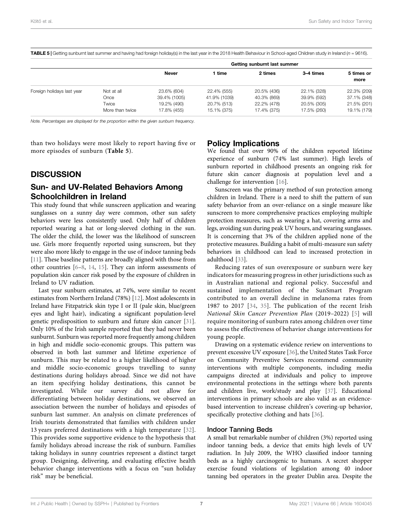<span id="page-7-0"></span>TABLE 5 | Getting sunburnt last summer and having had foreign holiday(s) in the last year in the 2018 Health Behaviour in School-aged Children study in Ireland (n = 9616).

|                            |                 | Getting sunburnt last summer |              |             |             |             |  |  |
|----------------------------|-----------------|------------------------------|--------------|-------------|-------------|-------------|--|--|
|                            |                 | <b>Never</b>                 | ∣ time       | 2 times     | 3–4 times   | 5 times or  |  |  |
|                            |                 |                              |              |             |             | more        |  |  |
| Foreign holidays last year | Not at all      | 23.6% (604)                  | 22.4% (555)  | 20.5% (436) | 22.1% (328) | 22.3% (209) |  |  |
|                            | Once            | 39.4% (1005)                 | 41.9% (1039) | 40.3% (869) | 39.9% (592) | 37.1% (348) |  |  |
|                            | Twice           | 19.2% (490)                  | 20.7% (513)  | 22.2% (478) | 20.5% (305) | 21.5% (201) |  |  |
|                            | More than twice | 17.8% (455)                  | 15.1% (375)  | 17.4% (375) | 17.5% (260) | 19.1% (179) |  |  |

Note. Percentages are displayed for the proportion within the given sunburn frequency.

than two holidays were most likely to report having five or more episodes of sunburn ([Table 5](#page-7-0)).

#### **DISCUSSION**

# Sun- and UV-Related Behaviors Among Schoolchildren in Ireland

This study found that while sunscreen application and wearing sunglasses on a sunny day were common, other sun safety behaviors were less consistently used. Only half of children reported wearing a hat or long-sleeved clothing in the sun. The older the child, the lower was the likelihood of sunscreen use. Girls more frequently reported using sunscreen, but they were also more likely to engage in the use of indoor tanning beds [[11\]](#page-9-9). These baseline patterns are broadly aligned with those from other countries [[6](#page-9-5)–[8,](#page-9-6) [14,](#page-9-12) [15](#page-9-13)]. They can inform assessments of population skin cancer risk posed by the exposure of children in Ireland to UV radiation.

Last year sunburn estimates, at 74%, were similar to recent estimates from Northern Ireland (78%) [\[12](#page-9-10)]. Most adolescents in Ireland have Fitzpatrick skin type I or II (pale skin, blue/green eyes and light hair), indicating a significant population-level genetic predisposition to sunburn and future skin cancer [[31\]](#page-10-11). Only 10% of the Irish sample reported that they had never been sunburnt. Sunburn was reported more frequently among children in high and middle socio-economic groups. This pattern was observed in both last summer and lifetime experience of sunburn. This may be related to a higher likelihood of higher and middle socio-economic groups travelling to sunny destinations during holidays abroad. Since we did not have an item specifying holiday destinations, this cannot be investigated. While our survey did not allow for differentiating between holiday destinations, we observed an association between the number of holidays and episodes of sunburn last summer. An analysis on climate preferences of Irish tourists demonstrated that families with children under 13 years preferred destinations with a high temperature [\[32\]](#page-10-12). This provides some supportive evidence to the hypothesis that family holidays abroad increase the risk of sunburn. Families taking holidays in sunny countries represent a distinct target group. Designing, delivering, and evaluating effective health behavior change interventions with a focus on "sun holiday risk" may be beneficial.

#### Policy Implications

We found that over 90% of the children reported lifetime experience of sunburn (74% last summer). High levels of sunburn reported in childhood presents an ongoing risk for future skin cancer diagnosis at population level and a challenge for intervention [\[16](#page-9-15)].

Sunscreen was the primary method of sun protection among children in Ireland. There is a need to shift the pattern of sun safety behavior from an over-reliance on a single measure like sunscreen to more comprehensive practices employing multiple protection measures, such as wearing a hat, covering arms and legs, avoiding sun during peak UV hours, and wearing sunglasses. It is concerning that 3% of the children applied none of the protective measures. Building a habit of multi-measure sun safety behaviors in childhood can lead to increased protection in adulthood [\[33](#page-10-13)].

Reducing rates of sun overexposure or sunburn were key indicators for measuring progress in other jurisdictions such as in Australian national and regional policy. Successful and sustained implementation of the SunSmart Program contributed to an overall decline in melanoma rates from 1987 to 2017 [[34](#page-10-14), [35](#page-10-15)]. The publication of the recent Irish National Skin Cancer Prevention Plan (2019–2022) [\[5](#page-9-4)] will require monitoring of sunburn rates among children over time to assess the effectiveness of behavior change interventions for young people.

Drawing on a systematic evidence review on interventions to prevent excessive UV exposure [\[36](#page-10-16)], the United States Task Force on Community Preventive Services recommend community interventions with multiple components, including media campaigns directed at individuals and policy to improve environmental protections in the settings where both parents and children live, work/study and play [[37\]](#page-10-17). Educational interventions in primary schools are also valid as an evidencebased intervention to increase children's covering-up behavior, specifically protective clothing and hats [[36](#page-10-16)].

#### Indoor Tanning Beds

A small but remarkable number of children (3%) reported using indoor tanning beds, a device that emits high levels of UV radiation. In July 2009, the WHO classified indoor tanning beds as a highly carcinogenic to humans. A secret shopper exercise found violations of legislation among 40 indoor tanning bed operators in the greater Dublin area. Despite the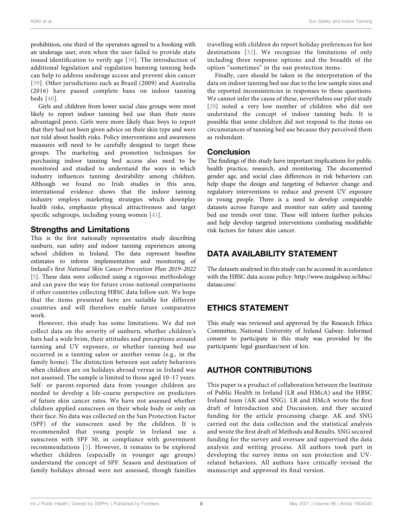prohibition, one third of the operators agreed to a booking with an underage user, even when the user failed to provide state issued identification to verify age [[38\]](#page-10-18). The introduction of additional legislation and regulation banning tanning beds can help to address underage access and prevent skin cancer [[39\]](#page-10-19). Other jurisdictions such as Brazil (2009) and Australia (2016) have passed complete bans on indoor tanning beds [\[40](#page-10-20)].

Girls and children from lower social class groups were most likely to report indoor tanning bed use than their more advantaged peers. Girls were more likely than boys to report that they had not been given advice on their skin type and were not told about health risks. Policy interventions and awareness measures will need to be carefully designed to target these groups. The marketing and promotion techniques for purchasing indoor tanning bed access also need to be monitored and studied to understand the ways in which industry influences tanning desirability among children. Although we found no Irish studies in this area, international evidence shows that the indoor tanning industry employs marketing strategies which downplay health risks, emphasize physical attractiveness and target specific subgroups, including young women [[41](#page-10-21)].

#### Strengths and Limitations

This is the first nationally representative study describing sunburn, sun safety and indoor tanning experiences among school children in Ireland. The data represent baseline estimates to inform implementation and monitoring of Ireland's first National Skin Cancer Prevention Plan 2019–2022 [[5](#page-9-4)]. These data were collected using a rigorous methodology and can pave the way for future cross-national comparisons if other countries collecting HBSC data follow suit. We hope that the items presented here are suitable for different countries and will therefore enable future comparative work.

However, this study has some limitations. We did not collect data on the severity of sunburn, whether children's hats had a wide brim, their attitudes and perceptions around tanning and UV exposure, or whether tanning bed use occurred in a tanning salon or another venue (e.g., in the family home). The distinction between sun safety behaviors when children are on holidays abroad versus in Ireland was not assessed. The sample is limited to those aged 10–17 years. Self- or parent-reported data from younger children are needed to develop a life-course perspective on predictors of future skin cancer rates. We have not assessed whether children applied sunscreen on their whole body or only on their face. No data was collected on the Sun Protection Factor (SPF) of the sunscreen used by the children. It is recommended that young people in Ireland use a sunscreen with SPF 50, in compliance with government recommendations [[5](#page-9-4)]. However, it remains to be explored whether children (especially in younger age groups) understand the concept of SPF. Season and destination of family holidays abroad were not assessed, though families

travelling with children do report holiday preferences for hot destinations [[32](#page-10-12)]. We recognize the limitations of only including three response options and the breadth of the option "sometimes" in the sun protection items.

Finally, care should be taken in the interpretation of the data on indoor tanning bed use due to the low sample sizes and the reported inconsistencies in responses to these questions. We cannot infer the cause of these, nevertheless our pilot study [[20](#page-10-0)] noted a very low number of children who did not understand the concept of indoor tanning beds. It is possible that some children did not respond to the items on circumstances of tanning bed use because they perceived them as redundant.

#### Conclusion

The findings of this study have important implications for public health practice, research, and monitoring. The documented gender age, and social class differences in risk behaviors can help shape the design and targeting of behavior change and regulatory interventions to reduce and prevent UV exposure in young people. There is a need to develop comparable datasets across Europe and monitor sun safety and tanning bed use trends over time. These will inform further policies and help develop targeted interventions combating modifiable risk factors for future skin cancer.

# DATA AVAILABILITY STATEMENT

The datasets analyzed in this study can be accessed in accordance with the HBSC data access policy: [http://www.nuigalway.ie/hbsc/](http://www.nuigalway.ie/hbsc/dataaccess/) [dataaccess/](http://www.nuigalway.ie/hbsc/dataaccess/).

# ETHICS STATEMENT

This study was reviewed and approved by the Research Ethics Committee, National University of Ireland Galway. Informed consent to participate in this study was provided by the participants' legal guardian/next of kin.

# AUTHOR CONTRIBUTIONS

This paper is a product of collaboration between the Institute of Public Health in Ireland (LR and HMcA) and the HBSC Ireland team (AK and SNG). LR and HMcA wrote the first draft of Introduction and Discussion, and they secured funding for the article processing charge. AK and SNG carried out the data collection and the statistical analysis and wrote the first draft of Methods and Results. SNG secured funding for the survey and oversaw and supervised the data analysis and writing process. All authors took part in developing the survey items on sun protection and UVrelated behaviors. All authors have critically revised the manuscript and approved its final version.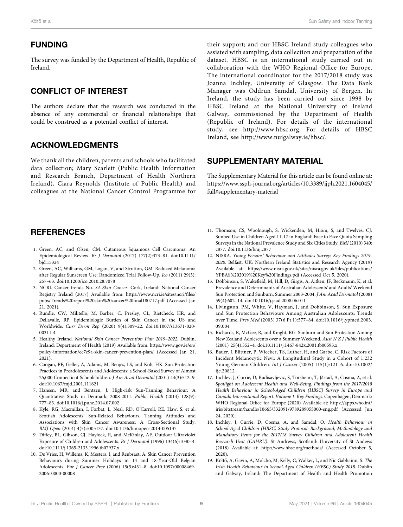#### FUNDING

The survey was funded by the Department of Health, Republic of Ireland.

# CONFLICT OF INTEREST

The authors declare that the research was conducted in the absence of any commercial or financial relationships that could be construed as a potential conflict of interest.

# ACKNOWLEDGMENTS

We thank all the children, parents and schools who facilitated data collection; Mary Scarlett (Public Health Information and Research Branch, Department of Health Northern Ireland), Ciara Reynolds (Institute of Public Health) and colleagues at the National Cancer Control Programme for

# **REFERENCES**

- <span id="page-9-0"></span>1. Green, AC, and Olsen, CM. Cutaneous Squamous Cell Carcinoma: An Epidemiological Review. Br J Dermatol (2017) 177(2):373–81. doi:[10.1111/](https://doi.org/10.1111/bjd.15324) [bjd.15324](https://doi.org/10.1111/bjd.15324)
- <span id="page-9-1"></span>2. Green, AC, Williams, GM, Logan, V, and Strutton, GM. Reduced Melanoma after Regular Sunscreen Use: Randomized Trial Follow-Up. Jco (2011) 29(3): 257–63. doi[:10.1200/jco.2010.28.7078](https://doi.org/10.1200/jco.2010.28.7078)
- <span id="page-9-2"></span>3. NCRI. Cancer trends No. 34–Skin Cancer. Cork, Ireland: National Cancer Registry Ireland (2017) Available from: [https://www.ncri.ie/sites/ncri/](https://www.ncri.ie/sites/ncri/files/pubs/Trends%20report%20skin%20cancer%20final180717.pdf)files/ [pubs/Trends%20report%20skin%20cancer%20](https://www.ncri.ie/sites/ncri/files/pubs/Trends%20report%20skin%20cancer%20final180717.pdf)final180717.pdf (Accessed Jan 21, 2021).
- <span id="page-9-3"></span>4. Rundle, CW, Militello, M, Barber, C, Presley, CL, Rietcheck, HR, and Dellavalle, RP. Epidemiologic Burden of Skin Cancer in the US and Worldwide. Curr Derm Rep (2020) 9(4):309–22. doi:[10.1007/s13671-020-](https://doi.org/10.1007/s13671-020-00311-4) [00311-4](https://doi.org/10.1007/s13671-020-00311-4)
- <span id="page-9-4"></span>5. Healthy Ireland. National Skin Cancer Prevention Plan 2019–2022. Dublin, Ireland: Department of Health (2019) Available from: [https://www.gov.ie/en/](https://www.gov.ie/en/policy-information/ec7c9a-skin-cancer-prevention-plan/) [policy-information/ec7c9a-skin-cancer-prevention-plan/](https://www.gov.ie/en/policy-information/ec7c9a-skin-cancer-prevention-plan/) (Accessed Jan 21, 2021).
- <span id="page-9-5"></span>6. Coogan, PF, Geller, A, Adams, M, Benjes, LS, and Koh, HK. Sun Protection Practices in Preadolescents and Adolescents: a School-Based Survey of Almost 25,000 Connecticut Schoolchildren. J Am Acad Dermatol (2001) 44(3):512–9. doi[:10.1067/mjd.2001.111621](https://doi.org/10.1067/mjd.2001.111621)
- <span id="page-9-14"></span>7. Hansen, MR, and Bentzen, J. High-risk Sun-Tanning Behaviour: A Quantitative Study in Denmark, 2008-2011. Public Health (2014) 128(9): 777–83. doi[:10.1016/j.puhe.2014.07.002](https://doi.org/10.1016/j.puhe.2014.07.002)
- <span id="page-9-6"></span>8. Kyle, RG, Macmillan, I, Forbat, L, Neal, RD, O'Carroll, RE, Haw, S, et al. Scottish Adolescents' Sun-Related Behaviours, Tanning Attitudes and Associations with Skin Cancer Awareness: A Cross-Sectional Study. BMJ Open (2014) 4(5):e005137. doi:[10.1136/bmjopen-2014-005137](https://doi.org/10.1136/bmjopen-2014-005137)
- <span id="page-9-7"></span>9. Diffey, BL, Gibson, CJ, Haylock, R, and McKinlay, AF. Outdoor Ultraviolet Exposure of Children and Adolescents. Br J Dermatol (1996) 134(6):1030–4. doi[:10.1111/j.1365-2133.1996.tb07937.x](https://doi.org/10.1111/j.1365-2133.1996.tb07937.x)
- <span id="page-9-8"></span>10. De Vries, H, Willems, K, Mesters, I, and Reubsaet, A. Skin Cancer Prevention Behaviours during Summer Holidays in 14 and 18-Year-Old Belgian Adolescents. Eur J Cancer Prev (2006) 15(5):431–8. doi[:10.1097/00008469-](https://doi.org/10.1097/00008469-200610000-00008) [200610000-00008](https://doi.org/10.1097/00008469-200610000-00008)

their support; and our HBSC Ireland study colleagues who assisted with sampling, data collection and preparation of the dataset. HBSC is an international study carried out in collaboration with the WHO Regional Office for Europe. The international coordinator for the 2017/2018 study was Joanna Inchley, University of Glasgow. The Data Bank Manager was Oddrun Samdal, University of Bergen. In Ireland, the study has been carried out since 1998 by HBSC Ireland at the National University of Ireland Galway, commissioned by the Department of Health (Republic of Ireland). For details of the international study, see [http://www.hbsc.org](http://www.hbsc.org/). For details of HBSC Ireland, see<http://www.nuigalway.ie/hbsc/>.

#### <span id="page-9-19"></span>SUPPLEMENTARY MATERIAL

The Supplementary Material for this article can be found online at: [https://www.ssph-journal.org/articles/10.3389/ijph.2021.1604045/](https://www.ssph-journal.org/articles/10.3389/ijph.2021.1604045/full#supplementary-material) [full#supplementary-material](https://www.ssph-journal.org/articles/10.3389/ijph.2021.1604045/full#supplementary-material)

- <span id="page-9-9"></span>11. Thomson, CS, Woolnough, S, Wickenden, M, Hiom, S, and Twelves, CJ. Sunbed Use in Children Aged 11-17 in England: Face to Face Quota Sampling Surveys in the National Prevalence Study and Six Cities Study. BMJ (2010) 340: c877. doi:[10.1136/bmj.c877](https://doi.org/10.1136/bmj.c877)
- <span id="page-9-10"></span>12. NISRA. Young Persons' Behaviour and Attitudes Survey: Key Findings 2019- 2020. Belfast, UK: Northern Ireland Statistics and Research Agency (2019) Available at: [https://www.nisra.gov.uk/sites/nisra.gov.uk/](https://www.nisra.gov.uk/sites/nisra.gov.uk/files/publications/YPBAS%202019%20Key%20Findings.pdf)files/publications/ [YPBAS%202019%20Key%20Findings.pdf](https://www.nisra.gov.uk/sites/nisra.gov.uk/files/publications/YPBAS%202019%20Key%20Findings.pdf) (Accessed Oct 5, 2020).
- <span id="page-9-11"></span>13. Dobbinson, S, Wakefield, M, Hill, D, Girgis, A, Aitken, JF, Beckmann, K, et al. Prevalence and Determinants of Australian Adolescents' and Adults' Weekend Sun Protection and Sunburn, Summer 2003-2004. J Am Acad Dermatol (2008) 59(4):602–14. doi[:10.1016/j.jaad.2008.06.011](https://doi.org/10.1016/j.jaad.2008.06.011)
- <span id="page-9-12"></span>14. Livingston, PM, White, V, Hayman, J, and Dobbinson, S. Sun Exposure and Sun Protection Behaviours Among Australian Adolescents: Trends over Time. Prev Med (2003) 37(6 Pt 1):577–84. doi:[10.1016/j.ypmed.2003.](https://doi.org/10.1016/j.ypmed.2003.09.004) [09.004](https://doi.org/10.1016/j.ypmed.2003.09.004)
- <span id="page-9-13"></span>15. Richards, R, McGee, R, and Knight, RG. Sunburn and Sun Protection Among New Zealand Adolescents over a Summer Weekend. Aust N Z J Public Health (2001) 25(4):352–4. doi:[10.1111/j.1467-842x.2001.tb00593.x](https://doi.org/10.1111/j.1467-842x.2001.tb00593.x)
- <span id="page-9-15"></span>16. Bauer, J, Büttner, P, Wiecker, TS, Luther, H, and Garbe, C. Risk Factors of Incident Melanocytic Nevi: A Longitudinal Study in a Cohort of 1,232 Young German Children. Int J Cancer (2005) 115(1):121–6. doi:[10.1002/](https://doi.org/10.1002/ijc.20812) [ijc.20812](https://doi.org/10.1002/ijc.20812)
- <span id="page-9-16"></span>17. Inchley, J, Currie, D, Budisavljevic, S, Torsheim, T, Jåstad, A, Cosma, A, et al. Spotlight on Adolescent Health and Well-Being. Findings from the 2017/2018 Health Behaviour in School-Aged Children (HBSC) Survey in Europe and Canada International Report. Volume 1. Key Findings. Copenhagen, Denmark: WHO Regional Office for Europe (2020) Available at: [https://apps.who.int/](https://apps.who.int/iris/bitstream/handle/10665/332091/9789289055000-eng.pdf) [iris/bitstream/handle/10665/332091/9789289055000-eng.pdf](https://apps.who.int/iris/bitstream/handle/10665/332091/9789289055000-eng.pdf) (Accessed Jun 24, 2020).
- <span id="page-9-17"></span>18. Inchley, J, Currie, D, Cosma, A, and Samdal, O. Health Behaviour in School-Aged Children (HBSC) Study Protocol: Background, Methodology and Mandatory Items for the 2017/18 Survey Children and Adolescent Health Research Unit (CAHRU). St Andrews, Scotland: University of St Andews (2018) Available at:<http://www.hbsc.org/methods/> (Accessed October 5, 2020).
- <span id="page-9-18"></span>19. Költő, A, Gavin, A, Molcho, M, Kelly, C, Walker, L, and Nic Gabhainn, S. The Irish Health Behaviour in School-Aged Children (HBSC) Study 2018. Dublin and Galway, Ireland: The Department of Health and Health Promotion